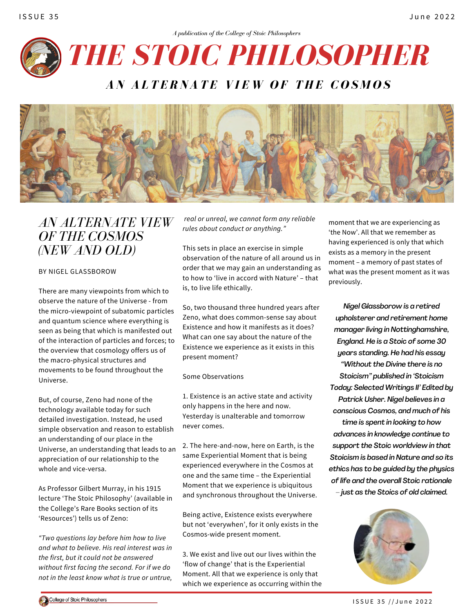



# *AN ALTERNATE VIEW OF THE COSMOS (NEW AND OLD)*

BY NIGEL GLASSBOROW

There are many viewpoints from which to observe the nature of the Universe - from the micro-viewpoint of subatomic particles and quantum science where everything is seen as being that which is manifested out of the interaction of particles and forces; to the overview that cosmology offers us of the macro-physical structures and movements to be found throughout the Universe.

But, of course, Zeno had none of the technology available today for such detailed investigation. Instead, he used simple observation and reason to establish an understanding of our place in the Universe, an understanding that leads to an appreciation of our relationship to the whole and vice-versa.

As Professor Gilbert Murray, in his 1915 lecture 'The Stoic Philosophy' (available in the College's Rare Books section of its 'Resources') tells us of Zeno:

*"Two questions lay before him how to live and what to believe. His real interest was in the first, but it could not be answered without first facing the second. For if we do not in the least know what is true or untrue,*

*real or unreal, we cannot form any reliable rules about conduct or anything."*

This sets in place an exercise in simple observation of the nature of all around us in order that we may gain an understanding as to how to 'live in accord with Nature' – that is, to live life ethically.

So, two thousand three hundred years after Zeno, what does common-sense say about Existence and how it manifests as it does? What can one say about the nature of the Existence we experience as it exists in this present moment?

Some Observations

1. Existence is an active state and activity only happens in the here and now. Yesterday is unalterable and tomorrow never comes.

2. The here-and-now, here on Earth, is the same Experiential Moment that is being experienced everywhere in the Cosmos at one and the same time – the Experiential Moment that we experience is ubiquitous and synchronous throughout the Universe.

Being active, Existence exists everywhere but not 'everywhen', for it only exists in the Cosmos-wide present moment.

3. We exist and live out our lives within the 'flow of change' that is the Experiential Moment. All that we experience is only that which we experience as occurring within the moment that we are experiencing as 'the Now'. All that we remember as having experienced is only that which exists as a memory in the present moment – a memory of past states of what was the present moment as it was previously.

*Nigel Glassborow is a retired upholsterer and retirement home manager living in Nottinghamshire, England. He is a Stoic of some 30 years standing. He had his essay "Without the Divine there is no Stoicism" published in 'Stoicism Today: Selected Writings II' Edited by Patrick Usher. Nigel believes in a conscious Cosmos, and much of his time is spent in looking to how advances in knowledge continue to support the Stoic worldview in that Stoicism is based in Nature and so its ethics has to be guided by the physics of life and the overall Stoic rationale – just as the Stoics of old claimed.*

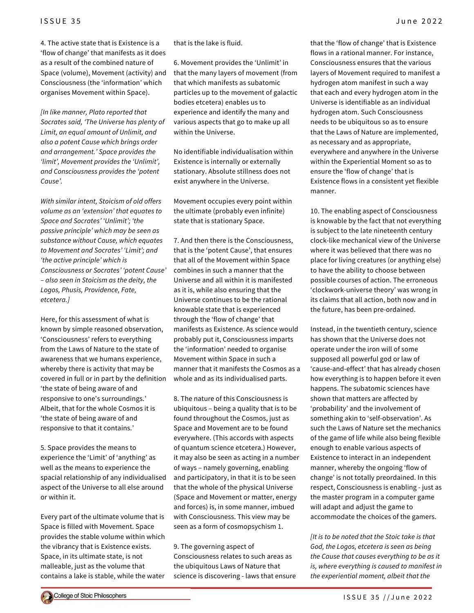4. The active state that is Existence is a 'flow of change' that manifests as it does as a result of the combined nature of Space (volume), Movement (activity) and Consciousness (the 'information' which organises Movement within Space).

*[In like manner, Plato reported that Socrates said, 'The Universe has plenty of Limit, an equal amount of Unlimit, and also a potent Cause which brings order and arrangement.' Space provides the 'limit', Movement provides the 'Unlimit', and Consciousness provides the 'potent Cause'.*

*With similar intent, Stoicism of old offers volume as an 'extension' that equates to Space and Socrates' 'Unlimit'; 'the passive principle' which may be seen as substance without Cause, which equates to Movement and Socrates' 'Limit'; and 'the active principle' which is Consciousness or Socrates' 'potent Cause' – also seen in Stoicism as the deity, the Logos, Phusis, Providence, Fate, etcetera.]*

Here, for this assessment of what is known by simple reasoned observation, 'Consciousness' refers to everything from the Laws of Nature to the state of awareness that we humans experience, whereby there is activity that may be covered in full or in part by the definition 'the state of being aware of and responsive to one's surroundings.' Albeit, that for the whole Cosmos it is 'the state of being aware of and responsive to that it contains.'

5. Space provides the means to experience the 'Limit' of 'anything' as well as the means to experience the spacial relationship of any individualised aspect of the Universe to all else around or within it.

Every part of the ultimate volume that is Space is filled with Movement. Space provides the stable volume within which the vibrancy that is Existence exists. Space, in its ultimate state, is not malleable, just as the volume that contains a lake is stable, while the water that is the lake is fluid.

6. Movement provides the 'Unlimit' in that the many layers of movement (from that which manifests as subatomic particles up to the movement of galactic bodies etcetera) enables us to experience and identify the many and various aspects that go to make up all within the Universe.

No identifiable individualisation within Existence is internally or externally stationary. Absolute stillness does not exist anywhere in the Universe.

Movement occupies every point within the ultimate (probably even infinite) state that is stationary Space.

7. And then there is the Consciousness, that is the 'potent Cause', that ensures that all of the Movement within Space combines in such a manner that the Universe and all within it is manifested as it is, while also ensuring that the Universe continues to be the rational knowable state that is experienced through the 'flow of change' that manifests as Existence. As science would probably put it, Consciousness imparts the 'information' needed to organise Movement within Space in such a manner that it manifests the Cosmos as a whole and as its individualised parts.

8. The nature of this Consciousness is ubiquitous – being a quality that is to be found throughout the Cosmos, just as Space and Movement are to be found everywhere. (This accords with aspects of quantum science etcetera.) However, it may also be seen as acting in a number of ways – namely governing, enabling and participatory, in that it is to be seen that the whole of the physical Universe (Space and Movement or matter, energy and forces) is, in some manner, imbued with Consciousness. This view may be seen as a form of cosmopsychism 1.

9. The governing aspect of Consciousness relates to such areas as the ubiquitous Laws of Nature that science is discovering - laws that ensure

that the 'flow of change' that is Existence flows in a rational manner. For instance, Consciousness ensures that the various layers of Movement required to manifest a hydrogen atom manifest in such a way that each and every hydrogen atom in the Universe is identifiable as an individual hydrogen atom. Such Consciousness needs to be ubiquitous so as to ensure that the Laws of Nature are implemented, as necessary and as appropriate, everywhere and anywhere in the Universe within the Experiential Moment so as to ensure the 'flow of change' that is Existence flows in a consistent yet flexible manner.

10. The enabling aspect of Consciousness is knowable by the fact that not everything is subject to the late nineteenth century clock-like mechanical view of the Universe where it was believed that there was no place for living creatures (or anything else) to have the ability to choose between possible courses of action. The erroneous 'clockwork-universe theory' was wrong in its claims that all action, both now and in the future, has been pre-ordained.

Instead, in the twentieth century, science has shown that the Universe does not operate under the iron will of some supposed all powerful god or law of 'cause-and-effect' that has already chosen how everything is to happen before it even happens. The subatomic sciences have shown that matters are affected by 'probability' and the involvement of something akin to 'self-observation'. As such the Laws of Nature set the mechanics of the game of life while also being flexible enough to enable various aspects of Existence to interact in an independent manner, whereby the ongoing 'flow of change' is not totally preordained. In this respect, Consciousness is enabling - just as the master program in a computer game will adapt and adjust the game to accommodate the choices of the gamers.

*[It is to be noted that the Stoic take is that God, the Logos, etcetera is seen as being the Cause that causes everything to be as it is, where everything is caused to manifest in the experiential moment, albeit that the*